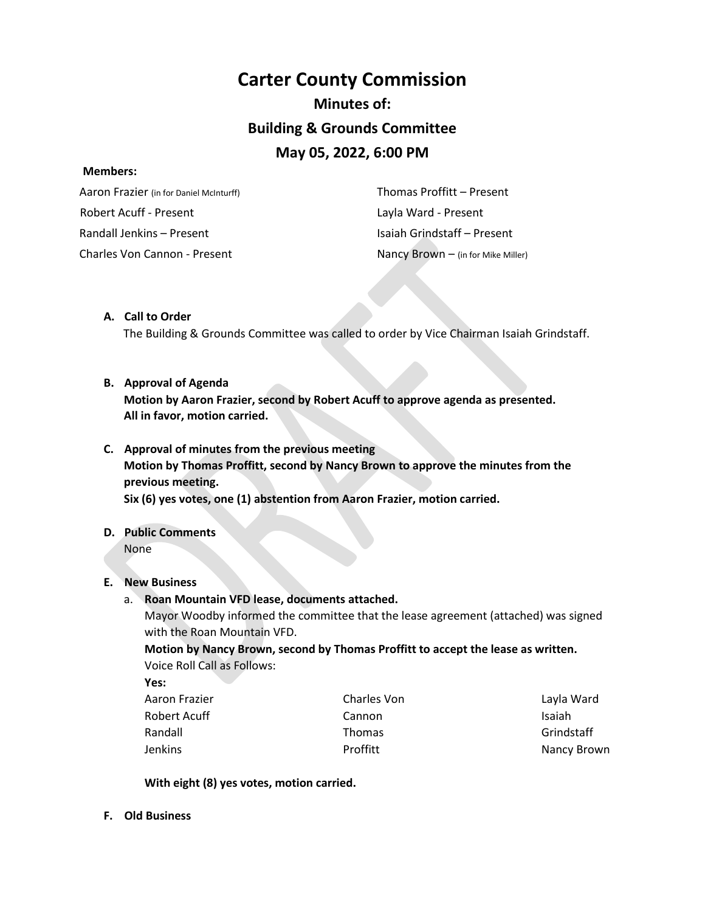# **Carter County Commission Minutes of: Building & Grounds Committee May 05, 2022, 6:00 PM**

#### **Members:**

 Aaron Frazier (in for Daniel McInturff) Robert Acuff - Present Randall Jenkins – Present Charles Von Cannon - Present **Nancy Brown** – (in for Mike Miller)

 Thomas Proffitt – Present Layla Ward - Present Isaiah Grindstaff – Present

## **A. Call to Order**

The Building & Grounds Committee was called to order by Vice Chairman Isaiah Grindstaff.

## **B. Approval of Agenda**

**Motion by Aaron Frazier, second by Robert Acuff to approve agenda as presented. All in favor, motion carried.** 

- **C. Approval of minutes from the previous meeting Motion by Thomas Proffitt, second by Nancy Brown to approve the minutes from the previous meeting. Six (6) yes votes, one (1) abstention from Aaron Frazier, motion carried.**
- **D. Public Comments**

None

## **E. New Business**

a. **Roan Mountain VFD lease, documents attached.**

Mayor Woodby informed the committee that the lease agreement (attached) was signed with the Roan Mountain VFD.

**Motion by Nancy Brown, second by Thomas Proffitt to accept the lease as written.**  Voice Roll Call as Follows:

**Yes:**

| Charles Von   | Layla Ward  |
|---------------|-------------|
| Cannon        | Isaiah      |
| <b>Thomas</b> | Grindstaff  |
| Proffitt      | Nancy Brown |
|               |             |

**With eight (8) yes votes, motion carried.** 

**F. Old Business**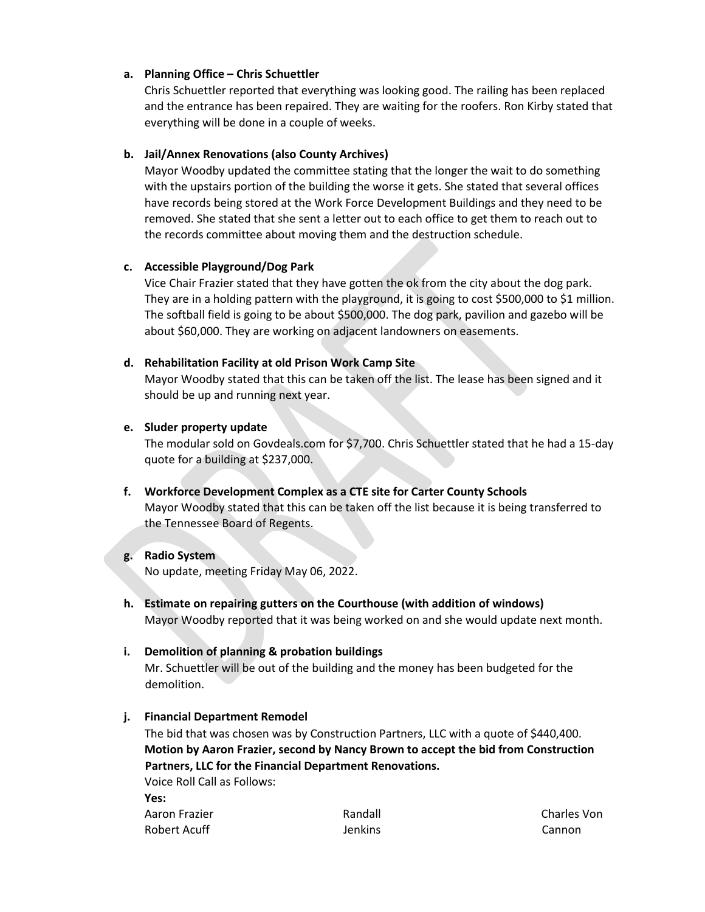## **a. Planning Office – Chris Schuettler**

Chris Schuettler reported that everything was looking good. The railing has been replaced and the entrance has been repaired. They are waiting for the roofers. Ron Kirby stated that everything will be done in a couple of weeks.

#### **b. Jail/Annex Renovations (also County Archives)**

Mayor Woodby updated the committee stating that the longer the wait to do something with the upstairs portion of the building the worse it gets. She stated that several offices have records being stored at the Work Force Development Buildings and they need to be removed. She stated that she sent a letter out to each office to get them to reach out to the records committee about moving them and the destruction schedule.

#### **c. Accessible Playground/Dog Park**

Vice Chair Frazier stated that they have gotten the ok from the city about the dog park. They are in a holding pattern with the playground, it is going to cost \$500,000 to \$1 million. The softball field is going to be about \$500,000. The dog park, pavilion and gazebo will be about \$60,000. They are working on adjacent landowners on easements.

#### **d. Rehabilitation Facility at old Prison Work Camp Site**

Mayor Woodby stated that this can be taken off the list. The lease has been signed and it should be up and running next year.

#### **e. Sluder property update**

The modular sold on Govdeals.com for \$7,700. Chris Schuettler stated that he had a 15-day quote for a building at \$237,000.

**f. Workforce Development Complex as a CTE site for Carter County Schools** Mayor Woodby stated that this can be taken off the list because it is being transferred to the Tennessee Board of Regents.

## **g. Radio System**

No update, meeting Friday May 06, 2022.

**h. Estimate on repairing gutters on the Courthouse (with addition of windows)** Mayor Woodby reported that it was being worked on and she would update next month.

## **i. Demolition of planning & probation buildings**

Mr. Schuettler will be out of the building and the money has been budgeted for the demolition.

## **j. Financial Department Remodel**

The bid that was chosen was by Construction Partners, LLC with a quote of \$440,400. **Motion by Aaron Frazier, second by Nancy Brown to accept the bid from Construction Partners, LLC for the Financial Department Renovations.** 

Voice Roll Call as Follows: **Yes:** Aaron Frazier Robert Acuff

Randall Jenkins Charles Von Cannon